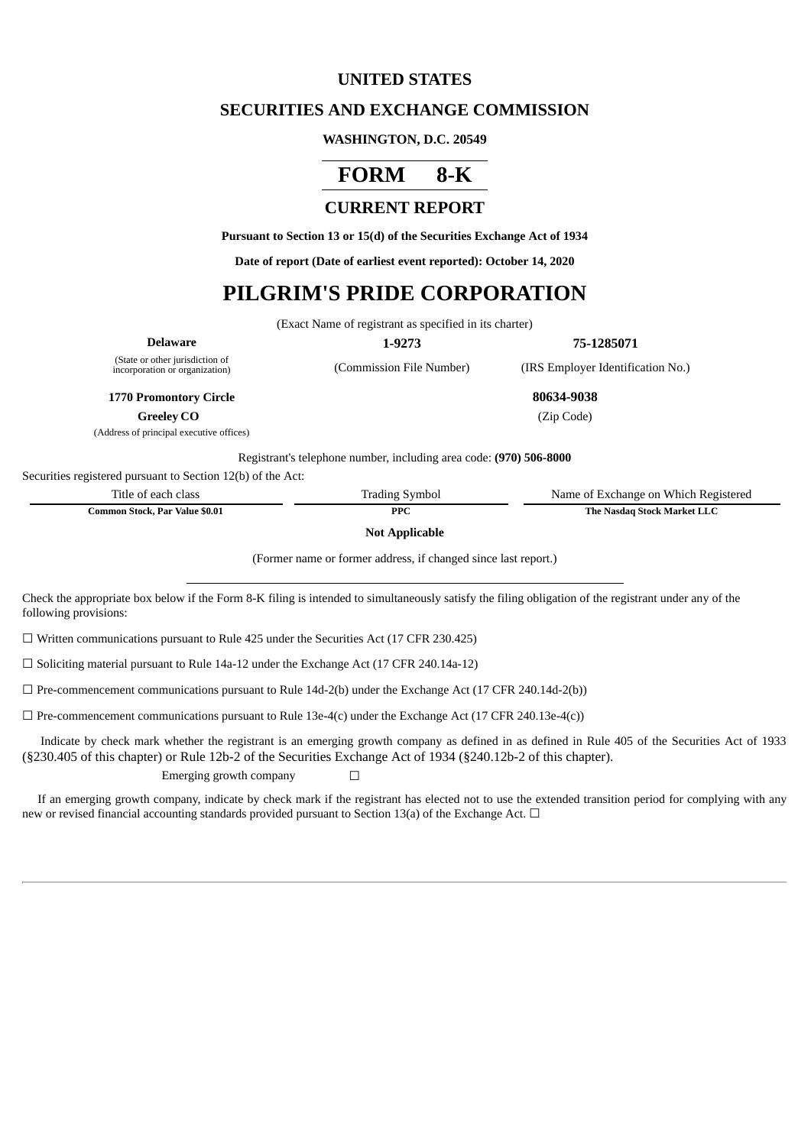## **UNITED STATES**

## **SECURITIES AND EXCHANGE COMMISSION**

#### **WASHINGTON, D.C. 20549**

# **FORM 8-K**

## **CURRENT REPORT**

**Pursuant to Section 13 or 15(d) of the Securities Exchange Act of 1934**

**Date of report (Date of earliest event reported): October 14, 2020**

# **PILGRIM'S PRIDE CORPORATION**

(Exact Name of registrant as specified in its charter)

**Delaware 1-9273 75-1285071**

(State or other jurisdiction of<br>incorporation or organization)

(Commission File Number) (IRS Employer Identification No.)

**1770 Promontory Circle 80634-9038**

**Greeley CO** (Zip Code)

(Address of principal executive offices)

Registrant's telephone number, including area code: **(970) 506-8000**

Securities registered pursuant to Section 12(b) of the Act:

| Title of each class            | <b>Trading Symbol</b> | Name of Exchange on Which Registered |
|--------------------------------|-----------------------|--------------------------------------|
| Common Stock, Par Value \$0.01 | <b>PPC</b>            | The Nasdag Stock Market LLC          |

**Not Applicable**

(Former name or former address, if changed since last report.)

Check the appropriate box below if the Form 8-K filing is intended to simultaneously satisfy the filing obligation of the registrant under any of the following provisions:

 $\Box$  Written communications pursuant to Rule 425 under the Securities Act (17 CFR 230.425)

 $\Box$  Soliciting material pursuant to Rule 14a-12 under the Exchange Act (17 CFR 240.14a-12)

 $\Box$  Pre-commencement communications pursuant to Rule 14d-2(b) under the Exchange Act (17 CFR 240.14d-2(b))

 $\Box$  Pre-commencement communications pursuant to Rule 13e-4(c) under the Exchange Act (17 CFR 240.13e-4(c))

Indicate by check mark whether the registrant is an emerging growth company as defined in as defined in Rule 405 of the Securities Act of 1933 (§230.405 of this chapter) or Rule 12b-2 of the Securities Exchange Act of 1934 (§240.12b-2 of this chapter).

Emerging growth company  $\Box$ 

If an emerging growth company, indicate by check mark if the registrant has elected not to use the extended transition period for complying with any new or revised financial accounting standards provided pursuant to Section 13(a) of the Exchange Act.  $\Box$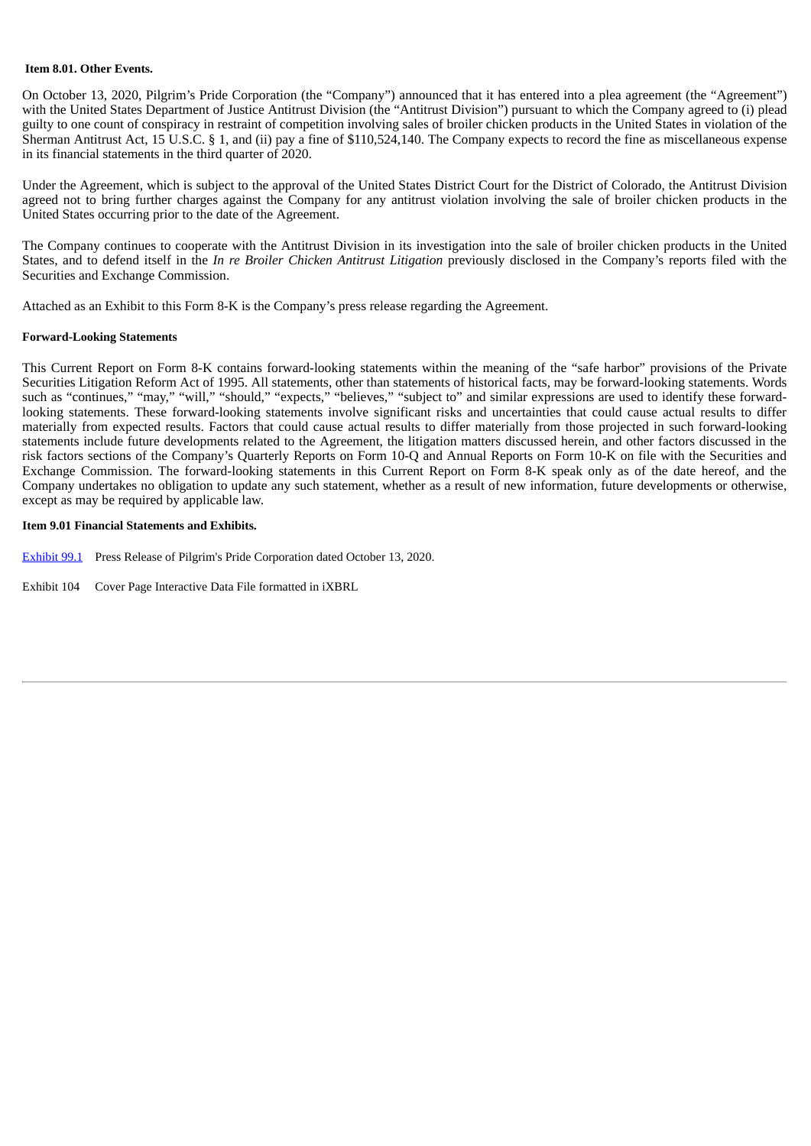#### **Item 8.01. Other Events.**

On October 13, 2020, Pilgrim's Pride Corporation (the "Company") announced that it has entered into a plea agreement (the "Agreement") with the United States Department of Justice Antitrust Division (the "Antitrust Division") pursuant to which the Company agreed to (i) plead guilty to one count of conspiracy in restraint of competition involving sales of broiler chicken products in the United States in violation of the Sherman Antitrust Act, 15 U.S.C. § 1, and (ii) pay a fine of \$110,524,140. The Company expects to record the fine as miscellaneous expense in its financial statements in the third quarter of 2020.

Under the Agreement, which is subject to the approval of the United States District Court for the District of Colorado, the Antitrust Division agreed not to bring further charges against the Company for any antitrust violation involving the sale of broiler chicken products in the United States occurring prior to the date of the Agreement.

The Company continues to cooperate with the Antitrust Division in its investigation into the sale of broiler chicken products in the United States, and to defend itself in the *In re Broiler Chicken Antitrust Litigation* previously disclosed in the Company's reports filed with the Securities and Exchange Commission.

Attached as an Exhibit to this Form 8-K is the Company's press release regarding the Agreement.

#### **Forward-Looking Statements**

This Current Report on Form 8-K contains forward-looking statements within the meaning of the "safe harbor" provisions of the Private Securities Litigation Reform Act of 1995. All statements, other than statements of historical facts, may be forward-looking statements. Words such as "continues," "may," "will," "should," "expects," "believes," "subject to" and similar expressions are used to identify these forwardlooking statements. These forward-looking statements involve significant risks and uncertainties that could cause actual results to differ materially from expected results. Factors that could cause actual results to differ materially from those projected in such forward-looking statements include future developments related to the Agreement, the litigation matters discussed herein, and other factors discussed in the risk factors sections of the Company's Quarterly Reports on Form 10-Q and Annual Reports on Form 10-K on file with the Securities and Exchange Commission. The forward-looking statements in this Current Report on Form 8-K speak only as of the date hereof, and the Company undertakes no obligation to update any such statement, whether as a result of new information, future developments or otherwise, except as may be required by applicable law.

#### **Item 9.01 Financial Statements and Exhibits.**

[Exhibit](#page-3-0) 99.1 Press Release of Pilgrim's Pride Corporation dated October 13, 2020.

Exhibit 104 Cover Page Interactive Data File formatted in iXBRL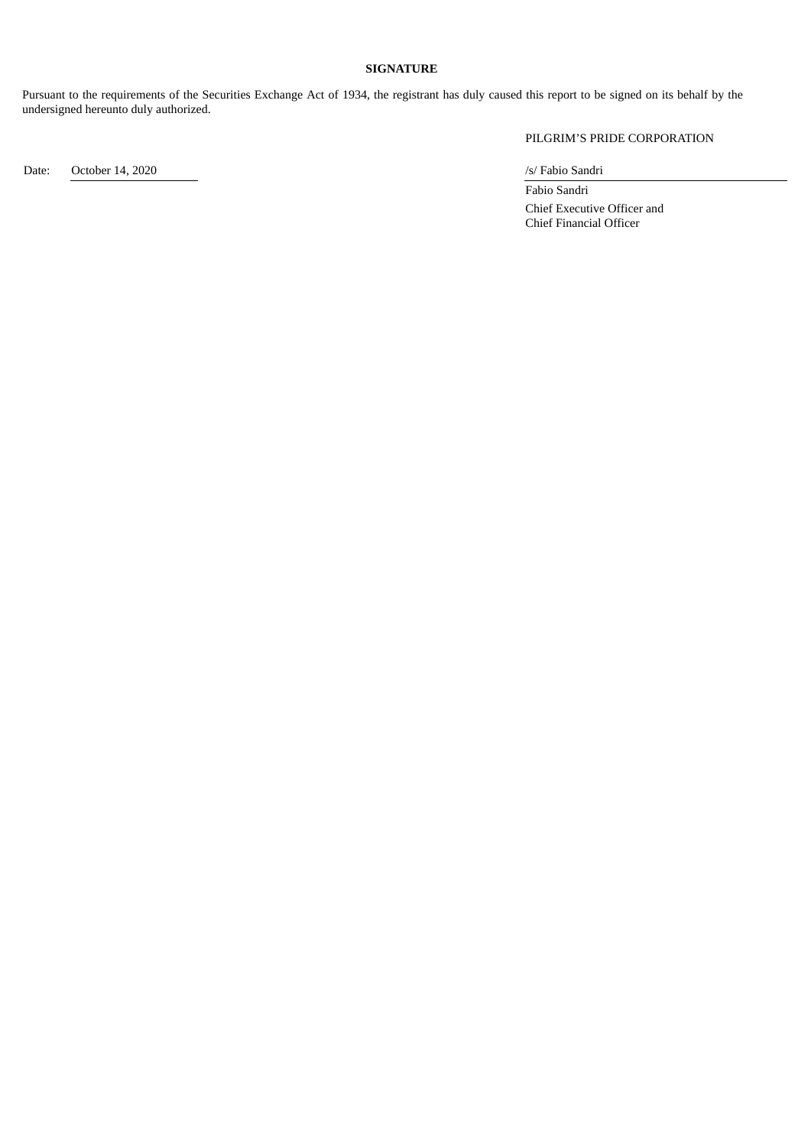#### **SIGNATURE**

Pursuant to the requirements of the Securities Exchange Act of 1934, the registrant has duly caused this report to be signed on its behalf by the undersigned hereunto duly authorized.

PILGRIM'S PRIDE CORPORATION

Date: October 14, 2020 /s/ Fabio Sandri

Fabio Sandri Chief Executive Officer and Chief Financial Officer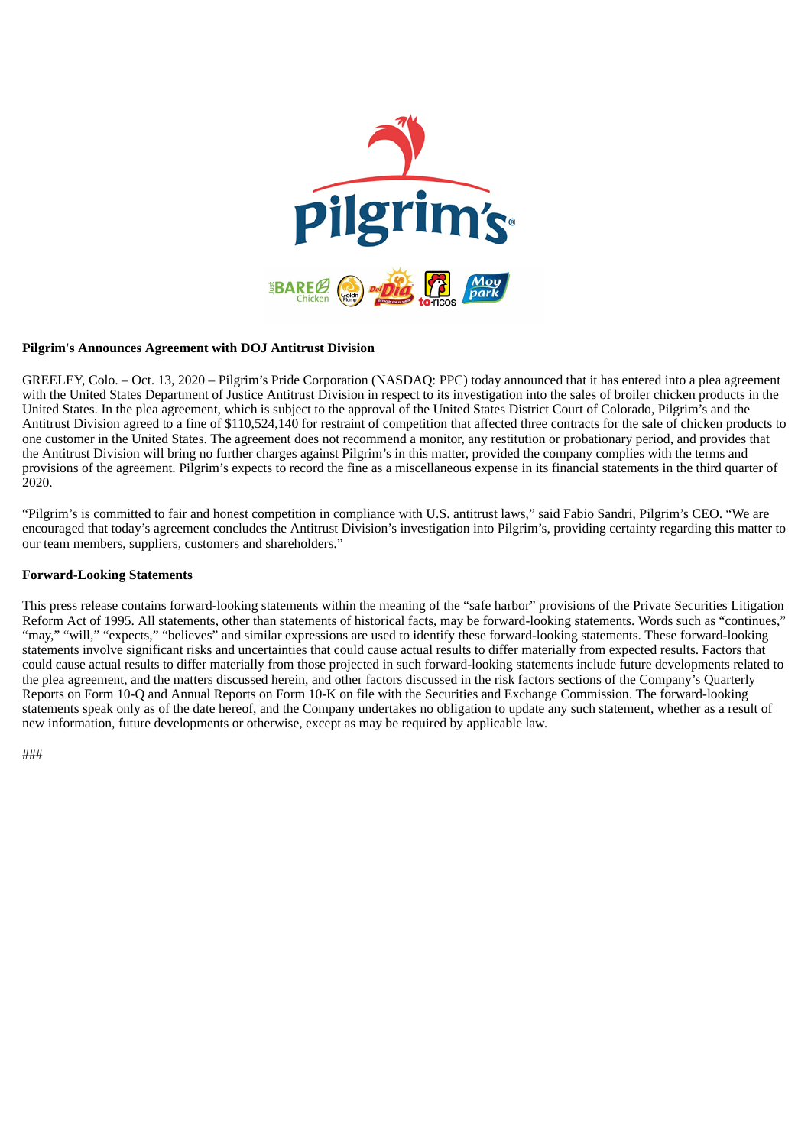<span id="page-3-0"></span>

#### **Pilgrim's Announces Agreement with DOJ Antitrust Division**

GREELEY, Colo. – Oct. 13, 2020 – Pilgrim's Pride Corporation (NASDAQ: PPC) today announced that it has entered into a plea agreement with the United States Department of Justice Antitrust Division in respect to its investigation into the sales of broiler chicken products in the United States. In the plea agreement, which is subject to the approval of the United States District Court of Colorado, Pilgrim's and the Antitrust Division agreed to a fine of \$110,524,140 for restraint of competition that affected three contracts for the sale of chicken products to one customer in the United States. The agreement does not recommend a monitor, any restitution or probationary period, and provides that the Antitrust Division will bring no further charges against Pilgrim's in this matter, provided the company complies with the terms and provisions of the agreement. Pilgrim's expects to record the fine as a miscellaneous expense in its financial statements in the third quarter of 2020.

"Pilgrim's is committed to fair and honest competition in compliance with U.S. antitrust laws," said Fabio Sandri, Pilgrim's CEO. "We are encouraged that today's agreement concludes the Antitrust Division's investigation into Pilgrim's, providing certainty regarding this matter to our team members, suppliers, customers and shareholders."

#### **Forward-Looking Statements**

This press release contains forward-looking statements within the meaning of the "safe harbor" provisions of the Private Securities Litigation Reform Act of 1995. All statements, other than statements of historical facts, may be forward-looking statements. Words such as "continues," "may," "will," "expects," "believes" and similar expressions are used to identify these forward-looking statements. These forward-looking statements involve significant risks and uncertainties that could cause actual results to differ materially from expected results. Factors that could cause actual results to differ materially from those projected in such forward-looking statements include future developments related to the plea agreement, and the matters discussed herein, and other factors discussed in the risk factors sections of the Company's Quarterly Reports on Form 10-Q and Annual Reports on Form 10-K on file with the Securities and Exchange Commission. The forward-looking statements speak only as of the date hereof, and the Company undertakes no obligation to update any such statement, whether as a result of new information, future developments or otherwise, except as may be required by applicable law.

###